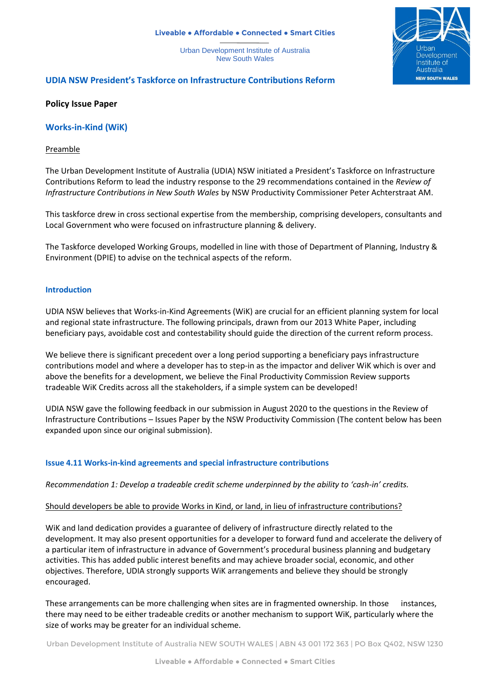#### **Liveable ● Affordable ● Connected ● Smart Cities**

Urban Development Institute of Australia New South Wales



# **UDIA NSW President's Taskforce on Infrastructure Contributions Reform**

### **Policy Issue Paper**

**Works-in-Kind (WiK)**

#### Preamble

The Urban Development Institute of Australia (UDIA) NSW initiated a President's Taskforce on Infrastructure Contributions Reform to lead the industry response to the 29 recommendations contained in the *Review of Infrastructure Contributions in New South Wales* by NSW Productivity Commissioner Peter Achterstraat AM.

This taskforce drew in cross sectional expertise from the membership, comprising developers, consultants and Local Government who were focused on infrastructure planning & delivery.

The Taskforce developed Working Groups, modelled in line with those of Department of Planning, Industry & Environment (DPIE) to advise on the technical aspects of the reform.

#### **Introduction**

UDIA NSW believes that Works-in-Kind Agreements (WiK) are crucial for an efficient planning system for local and regional state infrastructure. The following principals, drawn from our 2013 White Paper, including beneficiary pays, avoidable cost and contestability should guide the direction of the current reform process.

We believe there is significant precedent over a long period supporting a beneficiary pays infrastructure contributions model and where a developer has to step-in as the impactor and deliver WiK which is over and above the benefits for a development, we believe the Final Productivity Commission Review supports tradeable WiK Credits across all the stakeholders, if a simple system can be developed!

UDIA NSW gave the following feedback in our submission in August 2020 to the questions in the Review of Infrastructure Contributions – Issues Paper by the NSW Productivity Commission (The content below has been expanded upon since our original submission).

## **Issue 4.11 Works-in-kind agreements and special infrastructure contributions**

#### *Recommendation 1: Develop a tradeable credit scheme underpinned by the ability to 'cash-in' credits.*

#### Should developers be able to provide Works in Kind, or land, in lieu of infrastructure contributions?

WiK and land dedication provides a guarantee of delivery of infrastructure directly related to the development. It may also present opportunities for a developer to forward fund and accelerate the delivery of a particular item of infrastructure in advance of Government's procedural business planning and budgetary activities. This has added public interest benefits and may achieve broader social, economic, and other objectives. Therefore, UDIA strongly supports WiK arrangements and believe they should be strongly encouraged.

These arrangements can be more challenging when sites are in fragmented ownership. In those instances, there may need to be either tradeable credits or another mechanism to support WiK, particularly where the size of works may be greater for an individual scheme.

Urban Development Institute of Australia NEW SOUTH WALES | ABN 43 001 172 363 | PO Box Q402, NSW 1230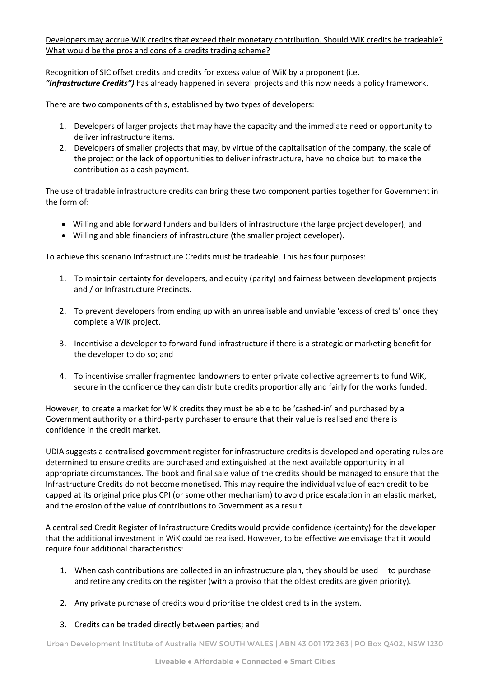Developers may accrue WiK credits that exceed their monetary contribution. Should WiK credits be tradeable? What would be the pros and cons of a credits trading scheme?

Recognition of SIC offset credits and credits for excess value of WiK by a proponent (i.e. *"Infrastructure Credits")* has already happened in several projects and this now needs a policy framework.

There are two components of this, established by two types of developers:

- 1. Developers of larger projects that may have the capacity and the immediate need or opportunity to deliver infrastructure items.
- 2. Developers of smaller projects that may, by virtue of the capitalisation of the company, the scale of the project or the lack of opportunities to deliver infrastructure, have no choice but to make the contribution as a cash payment.

The use of tradable infrastructure credits can bring these two component parties together for Government in the form of:

- Willing and able forward funders and builders of infrastructure (the large project developer); and
- Willing and able financiers of infrastructure (the smaller project developer).

To achieve this scenario Infrastructure Credits must be tradeable. This has four purposes:

- 1. To maintain certainty for developers, and equity (parity) and fairness between development projects and / or Infrastructure Precincts.
- 2. To prevent developers from ending up with an unrealisable and unviable 'excess of credits' once they complete a WiK project.
- 3. Incentivise a developer to forward fund infrastructure if there is a strategic or marketing benefit for the developer to do so; and
- 4. To incentivise smaller fragmented landowners to enter private collective agreements to fund WiK, secure in the confidence they can distribute credits proportionally and fairly for the works funded.

However, to create a market for WiK credits they must be able to be 'cashed-in' and purchased by a Government authority or a third-party purchaser to ensure that their value is realised and there is confidence in the credit market.

UDIA suggests a centralised government register for infrastructure credits is developed and operating rules are determined to ensure credits are purchased and extinguished at the next available opportunity in all appropriate circumstances. The book and final sale value of the credits should be managed to ensure that the Infrastructure Credits do not become monetised. This may require the individual value of each credit to be capped at its original price plus CPI (or some other mechanism) to avoid price escalation in an elastic market, and the erosion of the value of contributions to Government as a result.

A centralised Credit Register of Infrastructure Credits would provide confidence (certainty) for the developer that the additional investment in WiK could be realised. However, to be effective we envisage that it would require four additional characteristics:

- 1. When cash contributions are collected in an infrastructure plan, they should be used to purchase and retire any credits on the register (with a proviso that the oldest credits are given priority).
- 2. Any private purchase of credits would prioritise the oldest credits in the system.
- 3. Credits can be traded directly between parties; and

Urban Development Institute of Australia NEW SOUTH WALES | ABN 43 001 172 363 | PO Box Q402, NSW 1230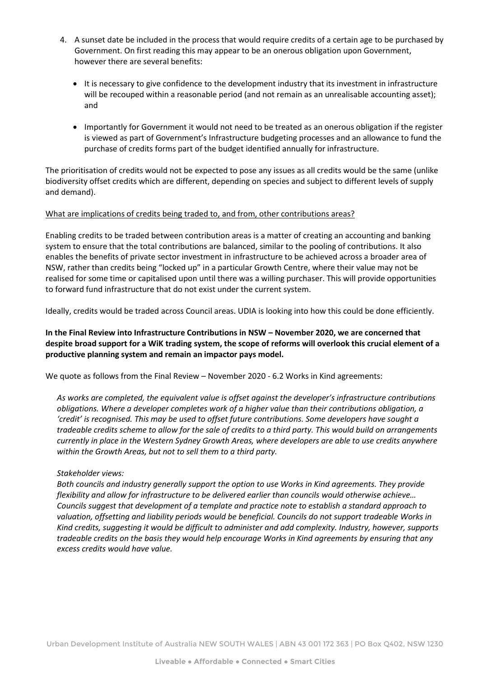- 4. A sunset date be included in the process that would require credits of a certain age to be purchased by Government. On first reading this may appear to be an onerous obligation upon Government, however there are several benefits:
	- It is necessary to give confidence to the development industry that its investment in infrastructure will be recouped within a reasonable period (and not remain as an unrealisable accounting asset); and
	- Importantly for Government it would not need to be treated as an onerous obligation if the register is viewed as part of Government's Infrastructure budgeting processes and an allowance to fund the purchase of credits forms part of the budget identified annually for infrastructure.

The prioritisation of credits would not be expected to pose any issues as all credits would be the same (unlike biodiversity offset credits which are different, depending on species and subject to different levels of supply and demand).

### What are implications of credits being traded to, and from, other contributions areas?

Enabling credits to be traded between contribution areas is a matter of creating an accounting and banking system to ensure that the total contributions are balanced, similar to the pooling of contributions. It also enables the benefits of private sector investment in infrastructure to be achieved across a broader area of NSW, rather than credits being "locked up" in a particular Growth Centre, where their value may not be realised for some time or capitalised upon until there was a willing purchaser. This will provide opportunities to forward fund infrastructure that do not exist under the current system.

Ideally, credits would be traded across Council areas. UDIA is looking into how this could be done efficiently.

**In the Final Review into Infrastructure Contributions in NSW – November 2020, we are concerned that despite broad support for a WiK trading system, the scope of reforms will overlook this crucial element of a productive planning system and remain an impactor pays model.**

We quote as follows from the Final Review – November 2020 - 6.2 Works in Kind agreements:

*As works are completed, the equivalent value is offset against the developer's infrastructure contributions obligations. Where a developer completes work of a higher value than their contributions obligation, a 'credit' is recognised. This may be used to offset future contributions. Some developers have sought a tradeable credits scheme to allow for the sale of credits to a third party. This would build on arrangements currently in place in the Western Sydney Growth Areas, where developers are able to use credits anywhere within the Growth Areas, but not to sell them to a third party.*

#### *Stakeholder views:*

*Both councils and industry generally support the option to use Works in Kind agreements. They provide flexibility and allow for infrastructure to be delivered earlier than councils would otherwise achieve… Councils suggest that development of a template and practice note to establish a standard approach to valuation, offsetting and liability periods would be beneficial. Councils do not support tradeable Works in Kind credits, suggesting it would be difficult to administer and add complexity. Industry, however, supports tradeable credits on the basis they would help encourage Works in Kind agreements by ensuring that any excess credits would have value.*